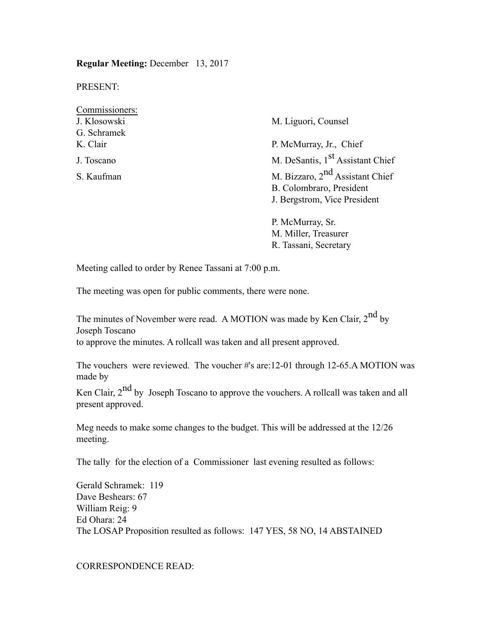**Regular Meeting:** December 13, 2017

PRESENT:

| Commissioners: |                                              |  |  |
|----------------|----------------------------------------------|--|--|
| J. Klosowski   | M. Liguori, Counsel                          |  |  |
| G. Schramek    |                                              |  |  |
| K. Clair       | P. McMurray, Jr., Chief                      |  |  |
| J. Toscano     | M. DeSantis, 1 <sup>st</sup> Assistant Chief |  |  |
| S. Kaufman     | M. Bizzaro, 2 <sup>nd</sup> Assistant Chief  |  |  |
|                | B. Colombraro, President                     |  |  |
|                | J. Bergstrom, Vice President                 |  |  |
|                | P McMurray Sr                                |  |  |

ay, Si M. Miller, Treasurer R. Tassani, Secretary

Meeting called to order by Renee Tassani at 7:00 p.m.

The meeting was open for public comments, there were none.

The minutes of November were read. A MOTION was made by Ken Clair, 2<sup>nd</sup> by Joseph Toscano to approve the minutes. A rollcall was taken and all present approved.

The vouchers were reviewed. The voucher #'s are:12-01 through 12-65.A MOTION was made by

Ken Clair, 2<sup>nd</sup> by Joseph Toscano to approve the vouchers. A rollcall was taken and all present approved.

Meg needs to make some changes to the budget. This will be addressed at the 12/26 meeting.

The tally for the election of a Commissioner last evening resulted as follows:

Gerald Schramek: 119 Dave Beshears: 67 William Reig: 9 Ed Ohara: 24 The LOSAP Proposition resulted as follows: 147 YES, 58 NO, 14 ABSTAINED

CORRESPONDENCE READ: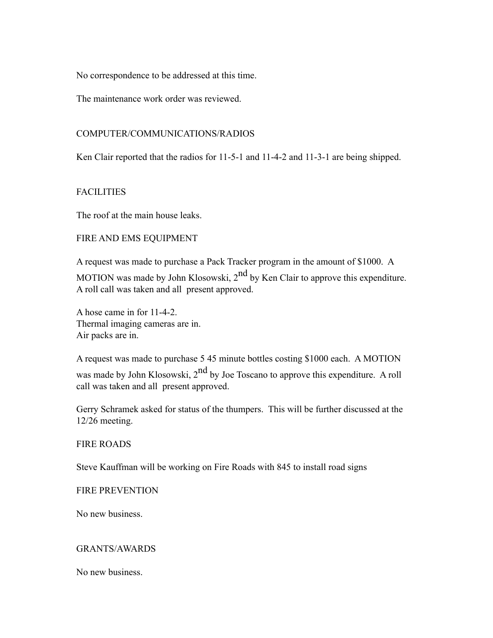No correspondence to be addressed at this time.

The maintenance work order was reviewed.

### COMPUTER/COMMUNICATIONS/RADIOS

Ken Clair reported that the radios for 11-5-1 and 11-4-2 and 11-3-1 are being shipped.

## **FACILITIES**

The roof at the main house leaks.

### FIRE AND EMS EQUIPMENT

A request was made to purchase a Pack Tracker program in the amount of \$1000. A

MOTION was made by John Klosowski,  $2<sup>nd</sup>$  by Ken Clair to approve this expenditure. A roll call was taken and all present approved.

A hose came in for 11-4-2. Thermal imaging cameras are in. Air packs are in.

A request was made to purchase 5 45 minute bottles costing \$1000 each. A MOTION was made by John Klosowski,  $2<sup>nd</sup>$  by Joe Toscano to approve this expenditure. A roll call was taken and all present approved.

Gerry Schramek asked for status of the thumpers. This will be further discussed at the 12/26 meeting.

## FIRE ROADS

Steve Kauffman will be working on Fire Roads with 845 to install road signs

### FIRE PREVENTION

No new business.

### GRANTS/AWARDS

No new business.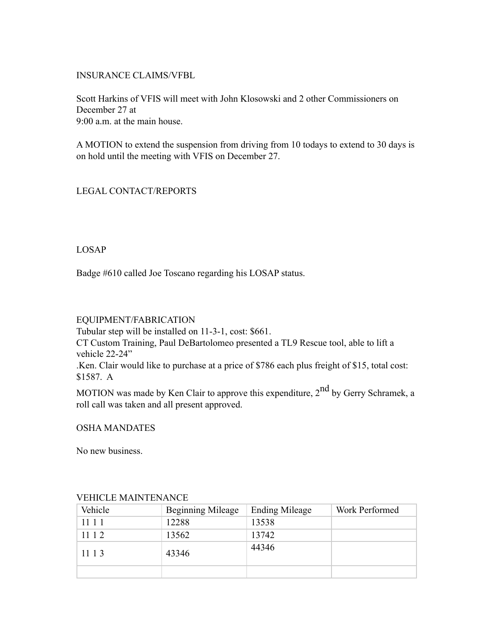## INSURANCE CLAIMS/VFBL

Scott Harkins of VFIS will meet with John Klosowski and 2 other Commissioners on December 27 at  $9.00$  a.m. at the main house.

A MOTION to extend the suspension from driving from 10 todays to extend to 30 days is on hold until the meeting with VFIS on December 27.

# LEGAL CONTACT/REPORTS

## LOSAP

Badge #610 called Joe Toscano regarding his LOSAP status.

### EQUIPMENT/FABRICATION

Tubular step will be installed on 11-3-1, cost: \$661.

CT Custom Training, Paul DeBartolomeo presented a TL9 Rescue tool, able to lift a vehicle 22-24"

.Ken. Clair would like to purchase at a price of \$786 each plus freight of \$15, total cost: \$1587. A

MOTION was made by Ken Clair to approve this expenditure,  $2^{nd}$  by Gerry Schramek, a roll call was taken and all present approved.

OSHA MANDATES

No new business.

| Vehicle | <b>Beginning Mileage</b> | <b>Ending Mileage</b> | Work Performed |  |  |
|---------|--------------------------|-----------------------|----------------|--|--|
| 11 1 1  | 12288                    | 13538                 |                |  |  |
| 11 1 2  | 13562                    | 13742                 |                |  |  |
| 11 1 3  | 43346                    | 44346                 |                |  |  |
|         |                          |                       |                |  |  |

## VEHICLE MAINTENANCE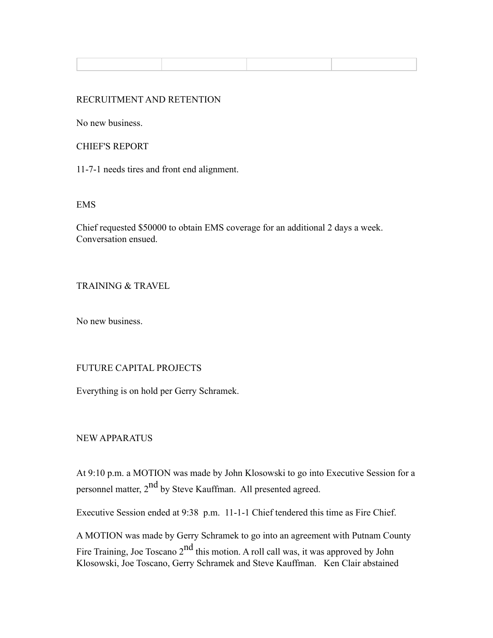### RECRUITMENT AND RETENTION

No new business.

CHIEF'S REPORT

11-7-1 needs tires and front end alignment.

EMS

Chief requested \$50000 to obtain EMS coverage for an additional 2 days a week. Conversation ensued.

#### TRAINING & TRAVEL

No new business.

### FUTURE CAPITAL PROJECTS

Everything is on hold per Gerry Schramek.

NEW APPARATUS

At 9:10 p.m. a MOTION was made by John Klosowski to go into Executive Session for a personnel matter, 2<sup>nd</sup> by Steve Kauffman. All presented agreed.

Executive Session ended at 9:38 p.m. 11-1-1 Chief tendered this time as Fire Chief.

A MOTION was made by Gerry Schramek to go into an agreement with Putnam County Fire Training, Joe Toscano  $2<sup>nd</sup>$  this motion. A roll call was, it was approved by John Klosowski, Joe Toscano, Gerry Schramek and Steve Kauffman. Ken Clair abstained